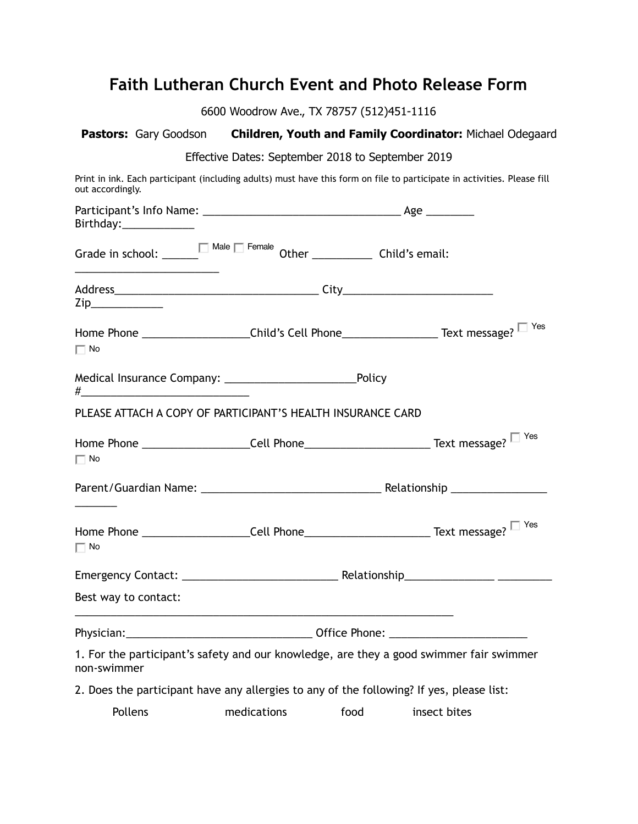## **Faith Lutheran Church Event and Photo Release Form**

6600 Woodrow Ave., TX 78757 (512)451-1116

|                        |                                                                                                                                                                                                                               |                                                                        |      | Pastors: Gary Goodson Children, Youth and Family Coordinator: Michael Odegaard                                          |
|------------------------|-------------------------------------------------------------------------------------------------------------------------------------------------------------------------------------------------------------------------------|------------------------------------------------------------------------|------|-------------------------------------------------------------------------------------------------------------------------|
|                        |                                                                                                                                                                                                                               | Effective Dates: September 2018 to September 2019                      |      |                                                                                                                         |
| out accordingly.       |                                                                                                                                                                                                                               |                                                                        |      | Print in ink. Each participant (including adults) must have this form on file to participate in activities. Please fill |
| Birthday:_____________ |                                                                                                                                                                                                                               |                                                                        |      |                                                                                                                         |
|                        |                                                                                                                                                                                                                               | Grade in school: $\Box$ Male $\Box$ Female Other $\Box$ Child's email: |      |                                                                                                                         |
|                        | $\mathsf{Zip}\_$                                                                                                                                                                                                              |                                                                        |      |                                                                                                                         |
| $\Box$ No              | Home Phone _____________________Child's Cell Phone_______________________Text message?                                                                                                                                        |                                                                        |      |                                                                                                                         |
|                        | $\#$ . The contract of the contract of the contract of the contract of the contract of the contract of the contract of the contract of the contract of the contract of the contract of the contract of the contract of the co |                                                                        |      |                                                                                                                         |
|                        |                                                                                                                                                                                                                               | PLEASE ATTACH A COPY OF PARTICIPANT'S HEALTH INSURANCE CARD            |      |                                                                                                                         |
| $\Box$ No              |                                                                                                                                                                                                                               |                                                                        |      |                                                                                                                         |
|                        |                                                                                                                                                                                                                               |                                                                        |      |                                                                                                                         |
| $\Box$ No              |                                                                                                                                                                                                                               |                                                                        |      | Home Phone ______________________Cell Phone_______________________________Text message?                                 |
|                        |                                                                                                                                                                                                                               |                                                                        |      |                                                                                                                         |
|                        | Best way to contact:                                                                                                                                                                                                          |                                                                        |      |                                                                                                                         |
|                        |                                                                                                                                                                                                                               |                                                                        |      |                                                                                                                         |
| non-swimmer            |                                                                                                                                                                                                                               |                                                                        |      | 1. For the participant's safety and our knowledge, are they a good swimmer fair swimmer                                 |
|                        |                                                                                                                                                                                                                               |                                                                        |      | 2. Does the participant have any allergies to any of the following? If yes, please list:                                |
| Pollens                |                                                                                                                                                                                                                               | medications                                                            | food | insect bites                                                                                                            |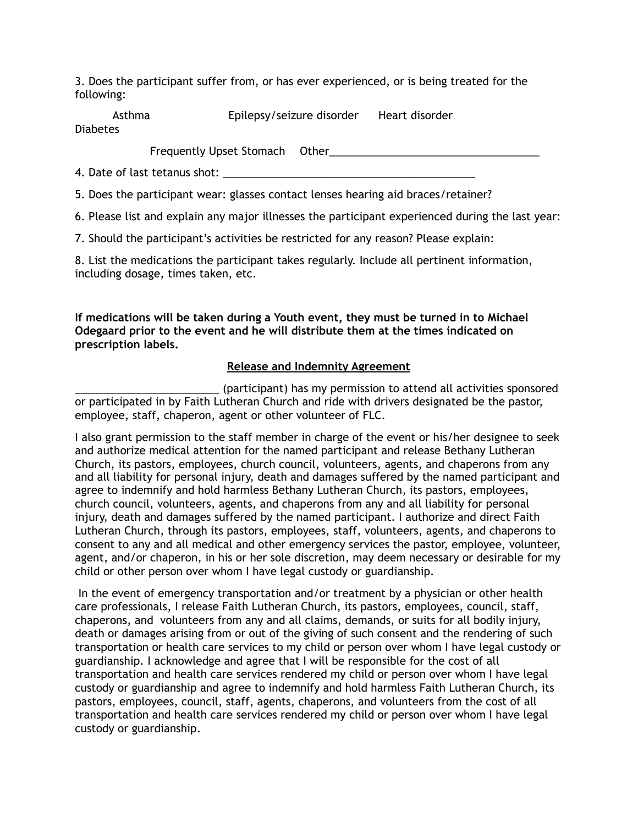3. Does the participant suffer from, or has ever experienced, or is being treated for the following:

Asthma Epilepsy/seizure disorder Heart disorder Diabetes

Frequently Upset Stomach Other\_\_\_\_\_\_\_\_\_\_\_\_\_\_\_\_\_\_\_\_\_\_\_\_\_\_\_\_\_\_\_\_\_\_\_

4. Date of last tetanus shot:

5. Does the participant wear: glasses contact lenses hearing aid braces/retainer?

6. Please list and explain any major illnesses the participant experienced during the last year:

7. Should the participant's activities be restricted for any reason? Please explain:

8. List the medications the participant takes regularly. Include all pertinent information, including dosage, times taken, etc.

**If medications will be taken during a Youth event, they must be turned in to Michael Odegaard prior to the event and he will distribute them at the times indicated on prescription labels.** 

## **Release and Indemnity Agreement**

\_\_\_\_\_\_\_\_\_\_\_\_\_\_\_\_\_\_\_\_\_\_\_\_ (participant) has my permission to attend all activities sponsored or participated in by Faith Lutheran Church and ride with drivers designated be the pastor, employee, staff, chaperon, agent or other volunteer of FLC.

I also grant permission to the staff member in charge of the event or his/her designee to seek and authorize medical attention for the named participant and release Bethany Lutheran Church, its pastors, employees, church council, volunteers, agents, and chaperons from any and all liability for personal injury, death and damages suffered by the named participant and agree to indemnify and hold harmless Bethany Lutheran Church, its pastors, employees, church council, volunteers, agents, and chaperons from any and all liability for personal injury, death and damages suffered by the named participant. I authorize and direct Faith Lutheran Church, through its pastors, employees, staff, volunteers, agents, and chaperons to consent to any and all medical and other emergency services the pastor, employee, volunteer, agent, and/or chaperon, in his or her sole discretion, may deem necessary or desirable for my child or other person over whom I have legal custody or guardianship.

In the event of emergency transportation and/or treatment by a physician or other health care professionals, I release Faith Lutheran Church, its pastors, employees, council, staff, chaperons, and volunteers from any and all claims, demands, or suits for all bodily injury, death or damages arising from or out of the giving of such consent and the rendering of such transportation or health care services to my child or person over whom I have legal custody or guardianship. I acknowledge and agree that I will be responsible for the cost of all transportation and health care services rendered my child or person over whom I have legal custody or guardianship and agree to indemnify and hold harmless Faith Lutheran Church, its pastors, employees, council, staff, agents, chaperons, and volunteers from the cost of all transportation and health care services rendered my child or person over whom I have legal custody or guardianship.